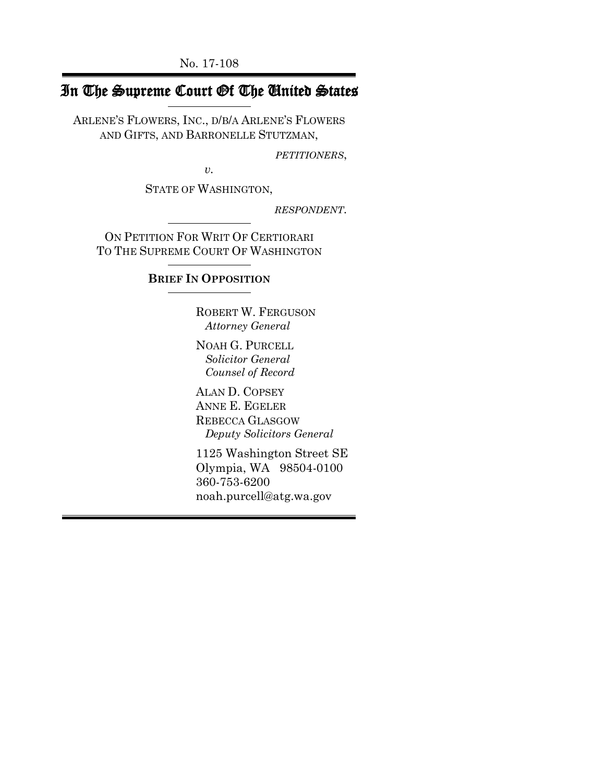No. 17-108

# In The Supreme Court Of The United States

ARLENE'S FLOWERS, INC., D/B/A ARLENE'S FLOWERS AND GIFTS, AND BARRONELLE STUTZMAN,

*PETITIONERS*,

*v.*

STATE OF WASHINGTON,

*RESPONDENT*.

ON PETITION FOR WRIT OF CERTIORARI TO THE SUPREME COURT OF WASHINGTON

### **BRIEF IN OPPOSITION**

ROBERT W. FERGUSON  *Attorney General*

NOAH G. PURCELL  *Solicitor General Counsel of Record*

ALAN D. COPSEY ANNE E. EGELER REBECCA GLASGOW  *Deputy Solicitors General*

1125 Washington Street SE Olympia, WA 98504-0100 360-753-6200 noah.purcell@atg.wa.gov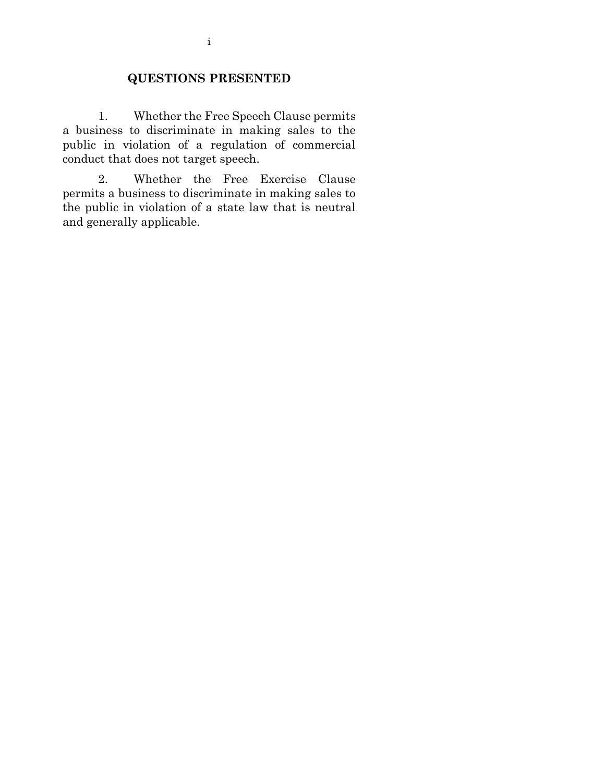# **QUESTIONS PRESENTED**

1. Whether the Free Speech Clause permits a business to discriminate in making sales to the public in violation of a regulation of commercial conduct that does not target speech.

2. Whether the Free Exercise Clause permits a business to discriminate in making sales to the public in violation of a state law that is neutral and generally applicable.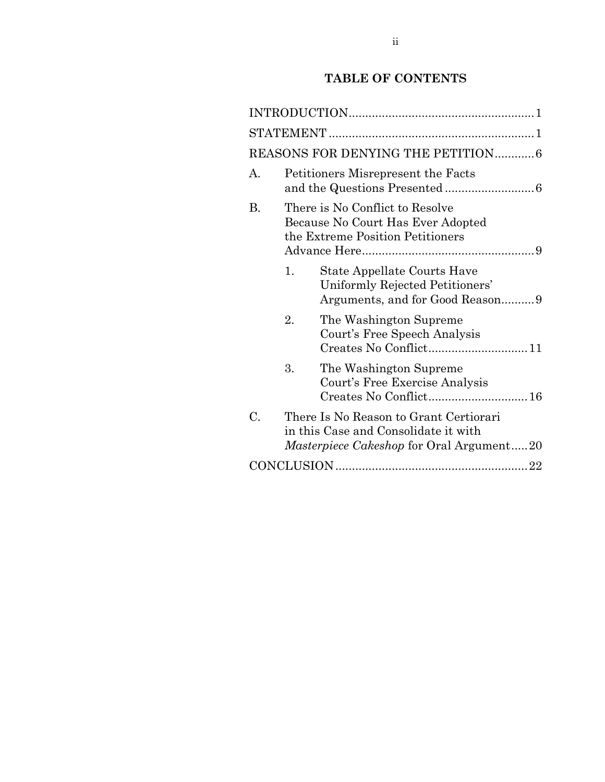# **TABLE OF CONTENTS**

|    |                                                                                                          | REASONS FOR DENYING THE PETITION6                                                                                                 |  |
|----|----------------------------------------------------------------------------------------------------------|-----------------------------------------------------------------------------------------------------------------------------------|--|
| А. | Petitioners Misrepresent the Facts                                                                       |                                                                                                                                   |  |
| В. | There is No Conflict to Resolve<br>Because No Court Has Ever Adopted<br>the Extreme Position Petitioners |                                                                                                                                   |  |
|    | 1.                                                                                                       | State Appellate Courts Have<br>Uniformly Rejected Petitioners'<br>Arguments, and for Good Reason9                                 |  |
|    | 2.                                                                                                       | The Washington Supreme<br>Court's Free Speech Analysis<br>Creates No Conflict11                                                   |  |
|    | 3.                                                                                                       | The Washington Supreme<br>Court's Free Exercise Analysis                                                                          |  |
| C. |                                                                                                          | There Is No Reason to Grant Certiorari<br>in this Case and Consolidate it with<br><i>Masterpiece Cakeshop</i> for Oral Argument20 |  |
|    |                                                                                                          |                                                                                                                                   |  |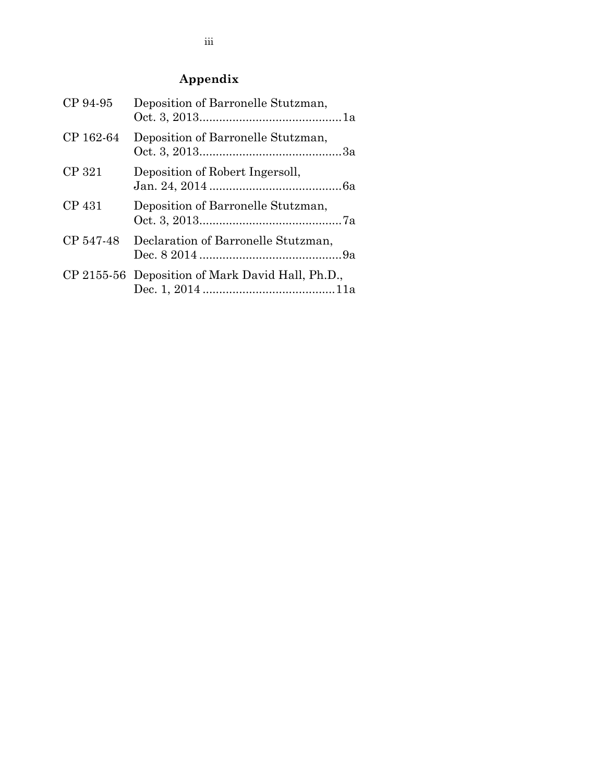# **Appendix**

| CP 94-95  | Deposition of Barronelle Stutzman,               |
|-----------|--------------------------------------------------|
| CP 162-64 | Deposition of Barronelle Stutzman,               |
| CP 321    | Deposition of Robert Ingersoll,                  |
| CP 431    | Deposition of Barronelle Stutzman,               |
| CP 547-48 | Declaration of Barronelle Stutzman,              |
|           | CP 2155-56 Deposition of Mark David Hall, Ph.D., |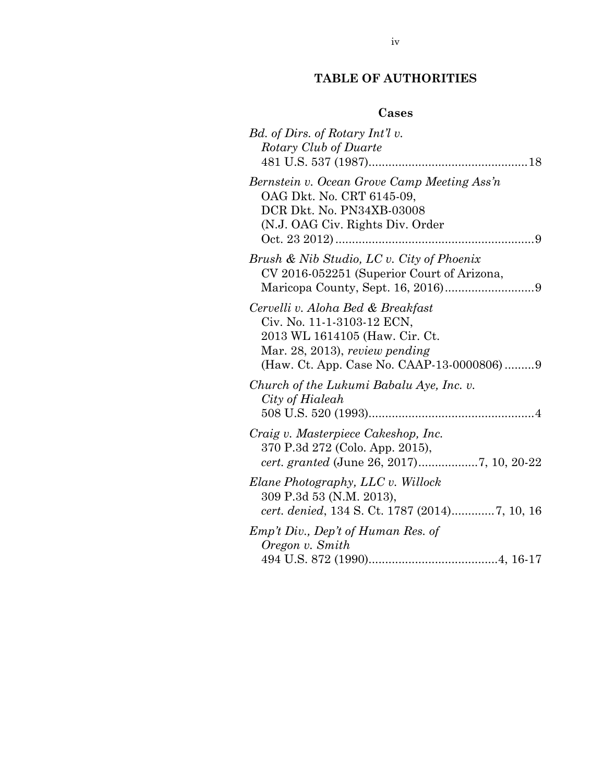# **TABLE OF AUTHORITIES**

# **Cases**

| Bd. of Dirs. of Rotary Int'l v.<br>Rotary Club of Duarte                                                                                                                         |
|----------------------------------------------------------------------------------------------------------------------------------------------------------------------------------|
| Bernstein v. Ocean Grove Camp Meeting Ass'n<br>OAG Dkt. No. CRT 6145-09,<br>DCR Dkt. No. PN34XB-03008<br>(N.J. OAG Civ. Rights Div. Order                                        |
| Brush & Nib Studio, LC v. City of Phoenix<br>CV 2016-052251 (Superior Court of Arizona,                                                                                          |
| Cervelli v. Aloha Bed & Breakfast<br>Civ. No. 11-1-3103-12 ECN,<br>2013 WL 1614105 (Haw. Cir. Ct.<br>Mar. 28, 2013), review pending<br>(Haw. Ct. App. Case No. CAAP-13-0000806)9 |
| Church of the Lukumi Babalu Aye, Inc. v.<br>City of Hialeah                                                                                                                      |
| Craig v. Masterpiece Cakeshop, Inc.<br>370 P.3d 272 (Colo. App. 2015),                                                                                                           |
| Elane Photography, LLC v. Willock<br>309 P.3d 53 (N.M. 2013),                                                                                                                    |
| Emp't Div., Dep't of Human Res. of<br>Oregon v. Smith                                                                                                                            |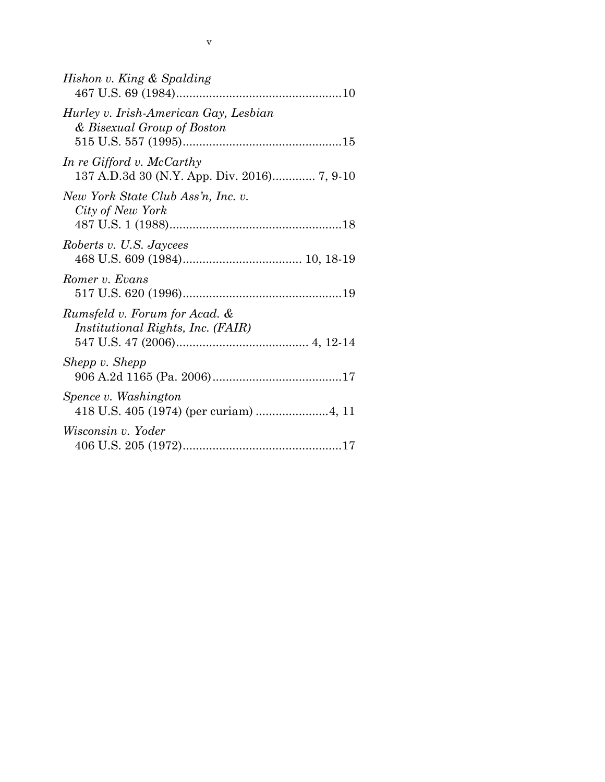| Hishon v. King & Spalding                                           |
|---------------------------------------------------------------------|
| Hurley v. Irish-American Gay, Lesbian<br>& Bisexual Group of Boston |
| In re Gifford v. McCarthy                                           |
| New York State Club Ass'n, Inc. v.<br>City of New York              |
| Roberts v. U.S. Jaycees                                             |
| Romer v. Evans                                                      |
| Rumsfeld v. Forum for Acad. &<br>Institutional Rights, Inc. (FAIR)  |
| Shepp v. Shepp                                                      |
| Spence v. Washington                                                |
| Wisconsin v. Yoder                                                  |

v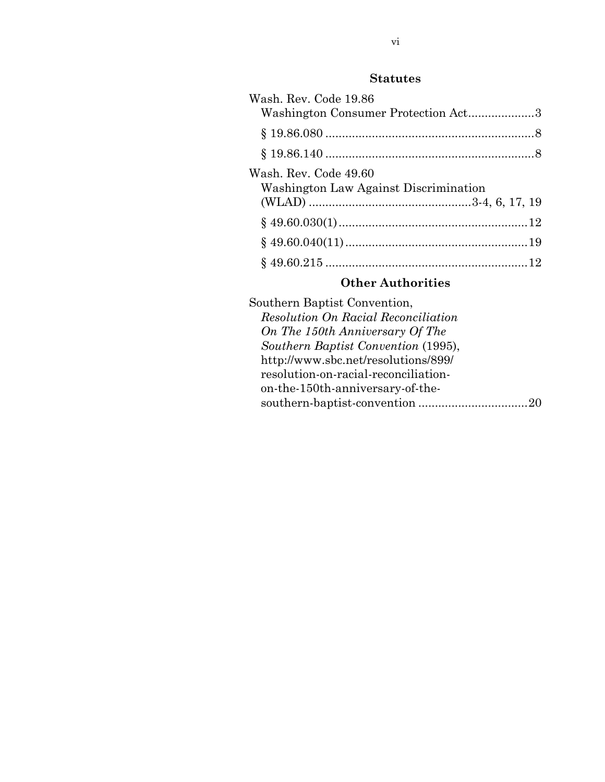# **Statutes**

| Wash. Rev. Code 19.86<br>Washington Consumer Protection Act3   |  |
|----------------------------------------------------------------|--|
|                                                                |  |
|                                                                |  |
| Wash. Rev. Code 49.60<br>Washington Law Against Discrimination |  |
|                                                                |  |
|                                                                |  |
|                                                                |  |

# **Other Authorities**

| Southern Baptist Convention,               |
|--------------------------------------------|
| <b>Resolution On Racial Reconciliation</b> |
| On The 150th Anniversary Of The            |
| Southern Baptist Convention (1995),        |
| http://www.sbc.net/resolutions/899/        |
| resolution-on-racial-reconciliation-       |
| on-the-150th-anniversary-of-the-           |
|                                            |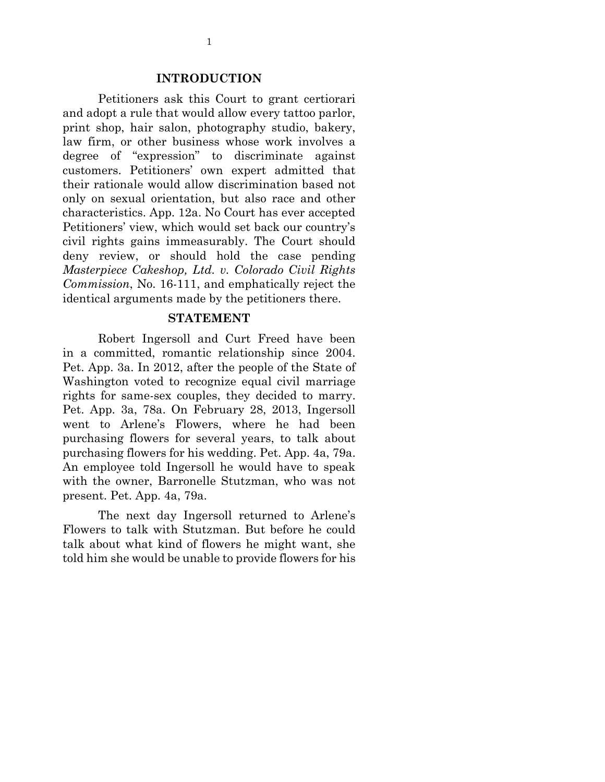#### **INTRODUCTION**

Petitioners ask this Court to grant certiorari and adopt a rule that would allow every tattoo parlor, print shop, hair salon, photography studio, bakery, law firm, or other business whose work involves a degree of "expression" to discriminate against customers. Petitioners' own expert admitted that their rationale would allow discrimination based not only on sexual orientation, but also race and other characteristics. App. 12a. No Court has ever accepted Petitioners' view, which would set back our country's civil rights gains immeasurably. The Court should deny review, or should hold the case pending *Masterpiece Cakeshop, Ltd. v. Colorado Civil Rights Commission*, No. 16-111, and emphatically reject the identical arguments made by the petitioners there.

#### **STATEMENT**

Robert Ingersoll and Curt Freed have been in a committed, romantic relationship since 2004. Pet. App. 3a. In 2012, after the people of the State of Washington voted to recognize equal civil marriage rights for same-sex couples, they decided to marry. Pet. App. 3a, 78a. On February 28, 2013, Ingersoll went to Arlene's Flowers, where he had been purchasing flowers for several years, to talk about purchasing flowers for his wedding. Pet. App. 4a, 79a. An employee told Ingersoll he would have to speak with the owner, Barronelle Stutzman, who was not present. Pet. App. 4a, 79a.

The next day Ingersoll returned to Arlene's Flowers to talk with Stutzman. But before he could talk about what kind of flowers he might want, she told him she would be unable to provide flowers for his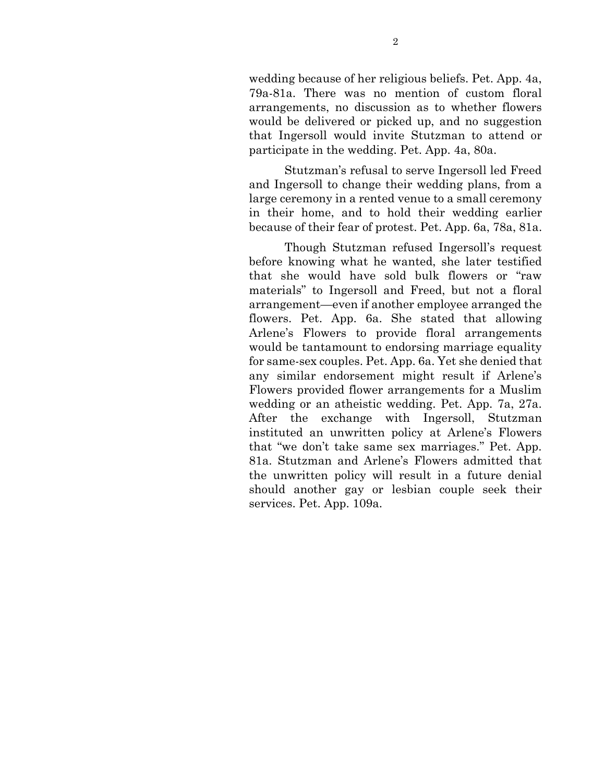wedding because of her religious beliefs. Pet. App. 4a, 79a-81a. There was no mention of custom floral arrangements, no discussion as to whether flowers would be delivered or picked up, and no suggestion that Ingersoll would invite Stutzman to attend or participate in the wedding. Pet. App. 4a, 80a.

Stutzman's refusal to serve Ingersoll led Freed and Ingersoll to change their wedding plans, from a large ceremony in a rented venue to a small ceremony in their home, and to hold their wedding earlier because of their fear of protest. Pet. App. 6a, 78a, 81a.

Though Stutzman refused Ingersoll's request before knowing what he wanted, she later testified that she would have sold bulk flowers or "raw materials" to Ingersoll and Freed, but not a floral arrangement—even if another employee arranged the flowers. Pet. App. 6a. She stated that allowing Arlene's Flowers to provide floral arrangements would be tantamount to endorsing marriage equality for same-sex couples. Pet. App. 6a. Yet she denied that any similar endorsement might result if Arlene's Flowers provided flower arrangements for a Muslim wedding or an atheistic wedding. Pet. App. 7a, 27a. After the exchange with Ingersoll, Stutzman instituted an unwritten policy at Arlene's Flowers that "we don't take same sex marriages." Pet. App. 81a. Stutzman and Arlene's Flowers admitted that the unwritten policy will result in a future denial should another gay or lesbian couple seek their services. Pet. App. 109a.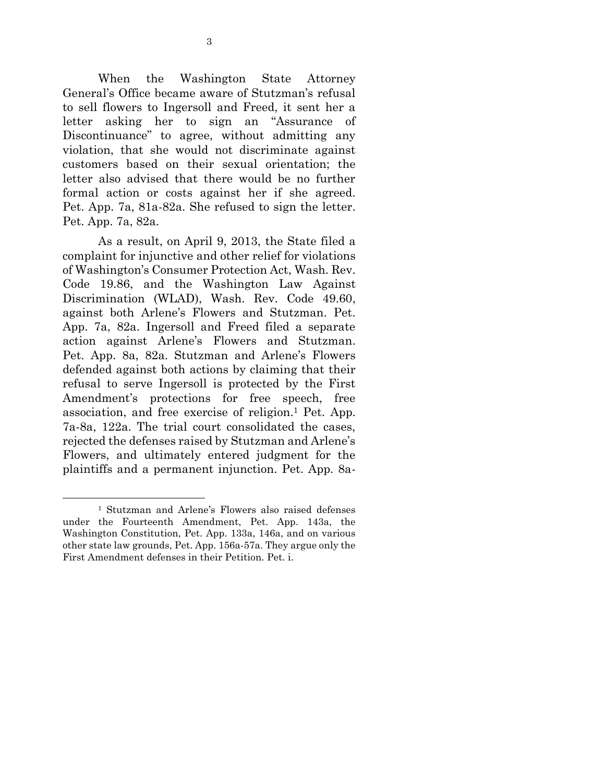When the Washington State Attorney General's Office became aware of Stutzman's refusal to sell flowers to Ingersoll and Freed, it sent her a letter asking her to sign an "Assurance of Discontinuance" to agree, without admitting any violation, that she would not discriminate against customers based on their sexual orientation; the letter also advised that there would be no further formal action or costs against her if she agreed. Pet. App. 7a, 81a-82a. She refused to sign the letter. Pet. App. 7a, 82a.

As a result, on April 9, 2013, the State filed a complaint for injunctive and other relief for violations of Washington's Consumer Protection Act, Wash. Rev. Code 19.86, and the Washington Law Against Discrimination (WLAD), Wash. Rev. Code 49.60, against both Arlene's Flowers and Stutzman. Pet. App. 7a, 82a. Ingersoll and Freed filed a separate action against Arlene's Flowers and Stutzman. Pet. App. 8a, 82a. Stutzman and Arlene's Flowers defended against both actions by claiming that their refusal to serve Ingersoll is protected by the First Amendment's protections for free speech, free association, and free exercise of religion.<sup>1</sup> Pet. App. 7a-8a, 122a. The trial court consolidated the cases, rejected the defenses raised by Stutzman and Arlene's Flowers, and ultimately entered judgment for the plaintiffs and a permanent injunction. Pet. App. 8a-

1

<sup>1</sup> Stutzman and Arlene's Flowers also raised defenses under the Fourteenth Amendment, Pet. App. 143a, the Washington Constitution, Pet. App. 133a, 146a, and on various other state law grounds, Pet. App. 156a-57a. They argue only the First Amendment defenses in their Petition. Pet. i.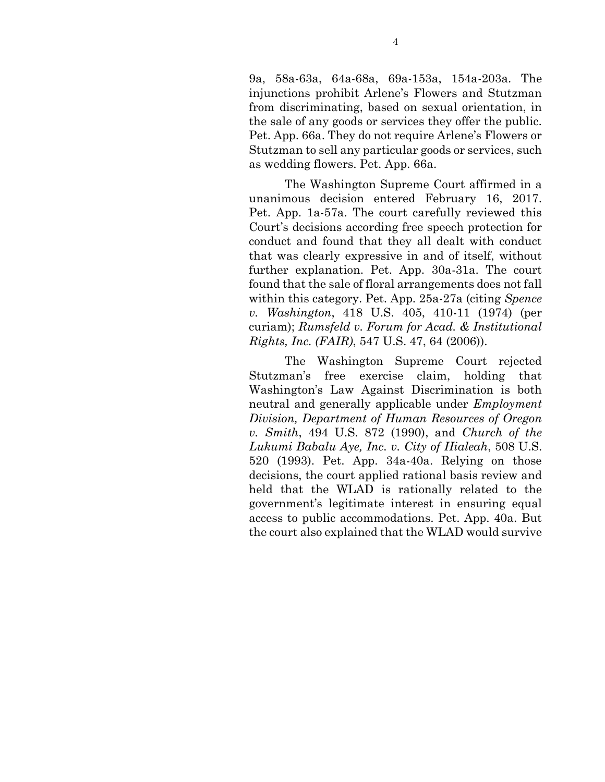9a, 58a-63a, 64a-68a, 69a-153a, 154a-203a. The injunctions prohibit Arlene's Flowers and Stutzman from discriminating, based on sexual orientation, in the sale of any goods or services they offer the public. Pet. App. 66a. They do not require Arlene's Flowers or Stutzman to sell any particular goods or services, such as wedding flowers. Pet. App. 66a.

The Washington Supreme Court affirmed in a unanimous decision entered February 16, 2017. Pet. App. 1a-57a. The court carefully reviewed this Court's decisions according free speech protection for conduct and found that they all dealt with conduct that was clearly expressive in and of itself, without further explanation. Pet. App. 30a-31a. The court found that the sale of floral arrangements does not fall within this category. Pet. App. 25a-27a (citing *Spence v. Washington*, 418 U.S. 405, 410-11 (1974) (per curiam); *Rumsfeld v. Forum for Acad. & Institutional Rights, Inc. (FAIR)*, 547 U.S. 47, 64 (2006)).

The Washington Supreme Court rejected Stutzman's free exercise claim, holding that Washington's Law Against Discrimination is both neutral and generally applicable under *Employment Division, Department of Human Resources of Oregon v. Smith*, 494 U.S. 872 (1990), and *Church of the Lukumi Babalu Aye, Inc. v. City of Hialeah*, 508 U.S. 520 (1993). Pet. App. 34a-40a. Relying on those decisions, the court applied rational basis review and held that the WLAD is rationally related to the government's legitimate interest in ensuring equal access to public accommodations. Pet. App. 40a. But the court also explained that the WLAD would survive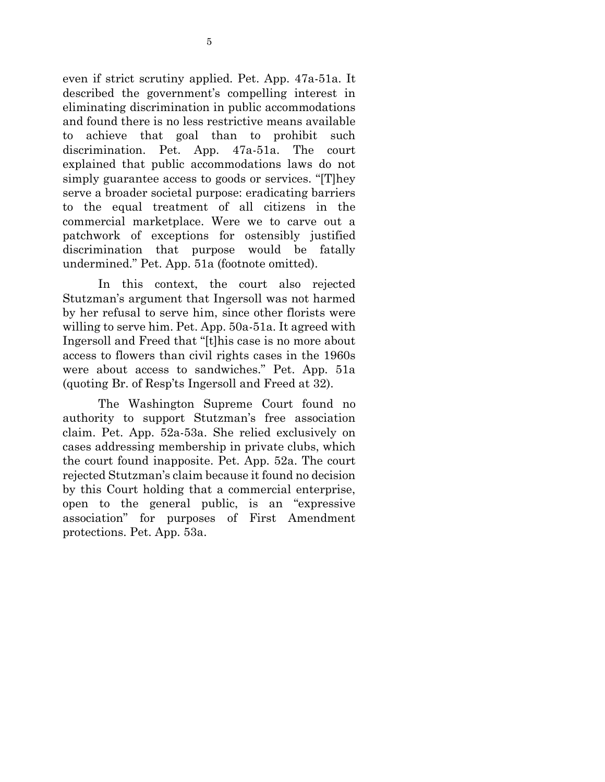even if strict scrutiny applied. Pet. App. 47a-51a. It described the government's compelling interest in eliminating discrimination in public accommodations and found there is no less restrictive means available to achieve that goal than to prohibit such discrimination. Pet. App. 47a-51a. The court explained that public accommodations laws do not simply guarantee access to goods or services. "[T]hey serve a broader societal purpose: eradicating barriers to the equal treatment of all citizens in the commercial marketplace. Were we to carve out a patchwork of exceptions for ostensibly justified discrimination that purpose would be fatally undermined." Pet. App. 51a (footnote omitted).

In this context, the court also rejected Stutzman's argument that Ingersoll was not harmed by her refusal to serve him, since other florists were willing to serve him. Pet. App. 50a-51a. It agreed with Ingersoll and Freed that "[t]his case is no more about access to flowers than civil rights cases in the 1960s were about access to sandwiches." Pet. App. 51a (quoting Br. of Resp'ts Ingersoll and Freed at 32).

The Washington Supreme Court found no authority to support Stutzman's free association claim. Pet. App. 52a-53a. She relied exclusively on cases addressing membership in private clubs, which the court found inapposite. Pet. App. 52a. The court rejected Stutzman's claim because it found no decision by this Court holding that a commercial enterprise, open to the general public, is an "expressive association" for purposes of First Amendment protections. Pet. App. 53a.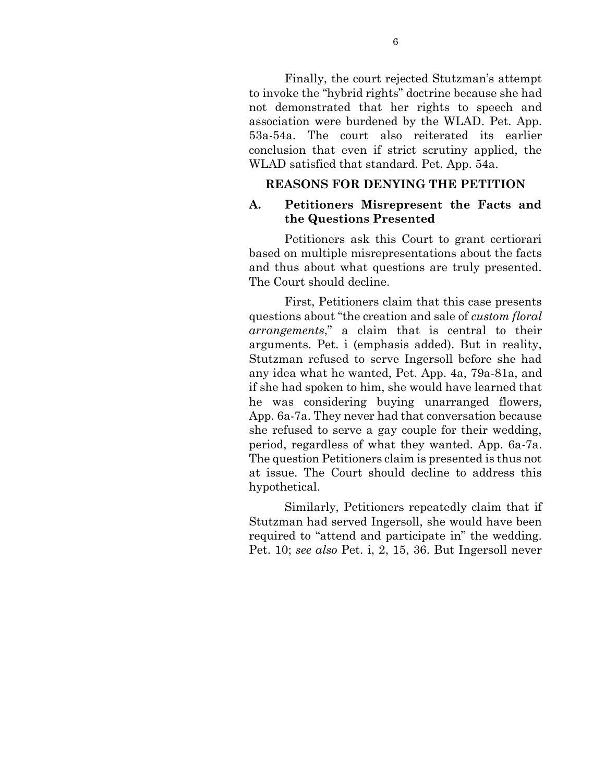Finally, the court rejected Stutzman's attempt to invoke the "hybrid rights" doctrine because she had not demonstrated that her rights to speech and association were burdened by the WLAD. Pet. App. 53a-54a. The court also reiterated its earlier conclusion that even if strict scrutiny applied, the WLAD satisfied that standard. Pet. App. 54a.

#### **REASONS FOR DENYING THE PETITION**

#### **A. Petitioners Misrepresent the Facts and the Questions Presented**

Petitioners ask this Court to grant certiorari based on multiple misrepresentations about the facts and thus about what questions are truly presented. The Court should decline.

First, Petitioners claim that this case presents questions about "the creation and sale of *custom floral arrangements*," a claim that is central to their arguments. Pet. i (emphasis added). But in reality, Stutzman refused to serve Ingersoll before she had any idea what he wanted, Pet. App. 4a, 79a-81a, and if she had spoken to him, she would have learned that he was considering buying unarranged flowers, App. 6a-7a. They never had that conversation because she refused to serve a gay couple for their wedding, period, regardless of what they wanted. App. 6a-7a. The question Petitioners claim is presented is thus not at issue. The Court should decline to address this hypothetical.

Similarly, Petitioners repeatedly claim that if Stutzman had served Ingersoll, she would have been required to "attend and participate in" the wedding. Pet. 10; *see also* Pet. i, 2, 15, 36. But Ingersoll never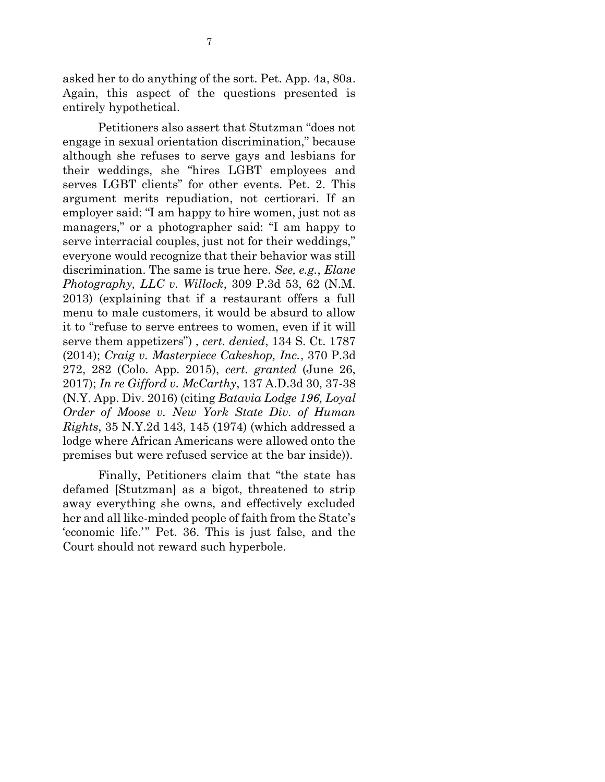asked her to do anything of the sort. Pet. App. 4a, 80a. Again, this aspect of the questions presented is entirely hypothetical.

Petitioners also assert that Stutzman "does not engage in sexual orientation discrimination," because although she refuses to serve gays and lesbians for their weddings, she "hires LGBT employees and serves LGBT clients" for other events. Pet. 2. This argument merits repudiation, not certiorari. If an employer said: "I am happy to hire women, just not as managers," or a photographer said: "I am happy to serve interracial couples, just not for their weddings," everyone would recognize that their behavior was still discrimination. The same is true here. *See, e.g.*, *Elane Photography, LLC v. Willock*, 309 P.3d 53, 62 (N.M. 2013) (explaining that if a restaurant offers a full menu to male customers, it would be absurd to allow it to "refuse to serve entrees to women, even if it will serve them appetizers") , *cert. denied*, 134 S. Ct. 1787 (2014); *Craig v. Masterpiece Cakeshop, Inc.*, 370 P.3d 272, 282 (Colo. App. 2015), *cert. granted* (June 26, 2017); *In re Gifford v. McCarthy*, 137 A.D.3d 30, 37-38 (N.Y. App. Div. 2016) (citing *Batavia Lodge 196, Loyal Order of Moose v. New York State Div. of Human Rights*, 35 N.Y.2d 143, 145 (1974) (which addressed a lodge where African Americans were allowed onto the premises but were refused service at the bar inside)).

Finally, Petitioners claim that "the state has defamed [Stutzman] as a bigot, threatened to strip away everything she owns, and effectively excluded her and all like-minded people of faith from the State's 'economic life.'" Pet. 36. This is just false, and the Court should not reward such hyperbole.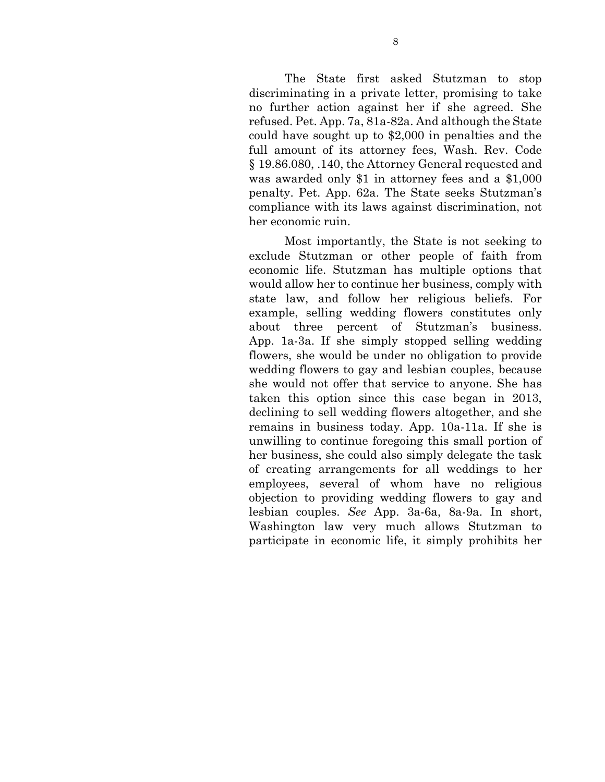The State first asked Stutzman to stop discriminating in a private letter, promising to take no further action against her if she agreed. She refused. Pet. App. 7a, 81a-82a. And although the State could have sought up to \$2,000 in penalties and the full amount of its attorney fees, Wash. Rev. Code § 19.86.080, .140, the Attorney General requested and was awarded only \$1 in attorney fees and a \$1,000 penalty. Pet. App. 62a. The State seeks Stutzman's compliance with its laws against discrimination, not her economic ruin.

Most importantly, the State is not seeking to exclude Stutzman or other people of faith from economic life. Stutzman has multiple options that would allow her to continue her business, comply with state law, and follow her religious beliefs. For example, selling wedding flowers constitutes only about three percent of Stutzman's business. App. 1a-3a. If she simply stopped selling wedding flowers, she would be under no obligation to provide wedding flowers to gay and lesbian couples, because she would not offer that service to anyone. She has taken this option since this case began in 2013, declining to sell wedding flowers altogether, and she remains in business today. App. 10a-11a. If she is unwilling to continue foregoing this small portion of her business, she could also simply delegate the task of creating arrangements for all weddings to her employees, several of whom have no religious objection to providing wedding flowers to gay and lesbian couples. *See* App. 3a-6a, 8a-9a. In short, Washington law very much allows Stutzman to participate in economic life, it simply prohibits her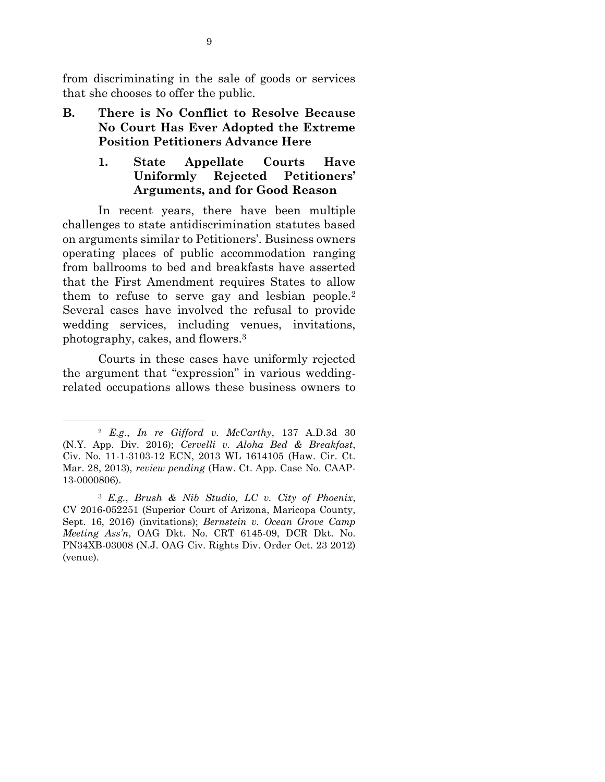from discriminating in the sale of goods or services that she chooses to offer the public.

**B. There is No Conflict to Resolve Because No Court Has Ever Adopted the Extreme Position Petitioners Advance Here**

### **1. State Appellate Courts Have Uniformly Rejected Petitioners' Arguments, and for Good Reason**

In recent years, there have been multiple challenges to state antidiscrimination statutes based on arguments similar to Petitioners'. Business owners operating places of public accommodation ranging from ballrooms to bed and breakfasts have asserted that the First Amendment requires States to allow them to refuse to serve gay and lesbian people.<sup>2</sup> Several cases have involved the refusal to provide wedding services, including venues, invitations, photography, cakes, and flowers.<sup>3</sup>

Courts in these cases have uniformly rejected the argument that "expression" in various weddingrelated occupations allows these business owners to

 $\overline{a}$ 

<sup>2</sup> *E.g.*, *In re Gifford v. McCarthy*, 137 A.D.3d 30 (N.Y. App. Div. 2016); *Cervelli v. Aloha Bed & Breakfast*, Civ. No. 11-1-3103-12 ECN, 2013 WL 1614105 (Haw. Cir. Ct. Mar. 28, 2013), *review pending* (Haw. Ct. App. Case No. CAAP-13-0000806).

<sup>3</sup> *E.g.*, *Brush & Nib Studio, LC v. City of Phoenix*, CV 2016-052251 (Superior Court of Arizona, Maricopa County, Sept. 16, 2016) (invitations); *Bernstein v. Ocean Grove Camp Meeting Ass'n*, OAG Dkt. No. CRT 6145-09, DCR Dkt. No. PN34XB-03008 (N.J. OAG Civ. Rights Div. Order Oct. 23 2012) (venue).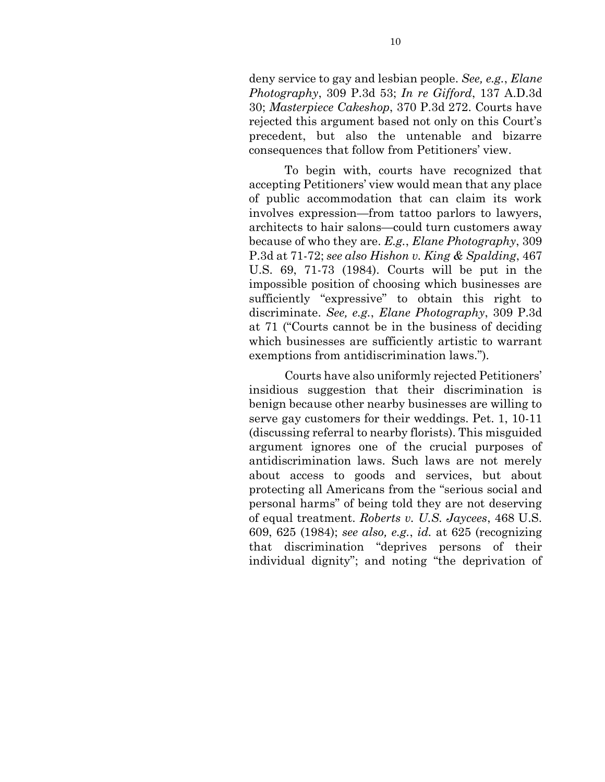deny service to gay and lesbian people. *See, e.g.*, *Elane Photography*, 309 P.3d 53; *In re Gifford*, 137 A.D.3d 30; *Masterpiece Cakeshop*, 370 P.3d 272. Courts have rejected this argument based not only on this Court's precedent, but also the untenable and bizarre consequences that follow from Petitioners' view.

To begin with, courts have recognized that accepting Petitioners' view would mean that any place of public accommodation that can claim its work involves expression—from tattoo parlors to lawyers, architects to hair salons—could turn customers away because of who they are. *E.g.*, *Elane Photography*, 309 P.3d at 71-72; *see also Hishon v. King & Spalding*, 467 U.S. 69, 71-73 (1984). Courts will be put in the impossible position of choosing which businesses are sufficiently "expressive" to obtain this right to discriminate. *See, e.g.*, *Elane Photography*, 309 P.3d at 71 ("Courts cannot be in the business of deciding which businesses are sufficiently artistic to warrant exemptions from antidiscrimination laws.").

Courts have also uniformly rejected Petitioners' insidious suggestion that their discrimination is benign because other nearby businesses are willing to serve gay customers for their weddings. Pet. 1, 10-11 (discussing referral to nearby florists). This misguided argument ignores one of the crucial purposes of antidiscrimination laws. Such laws are not merely about access to goods and services, but about protecting all Americans from the "serious social and personal harms" of being told they are not deserving of equal treatment. *Roberts v. U.S. Jaycees*, 468 U.S. 609, 625 (1984); *see also, e.g.*, *id.* at 625 (recognizing that discrimination "deprives persons of their individual dignity"; and noting "the deprivation of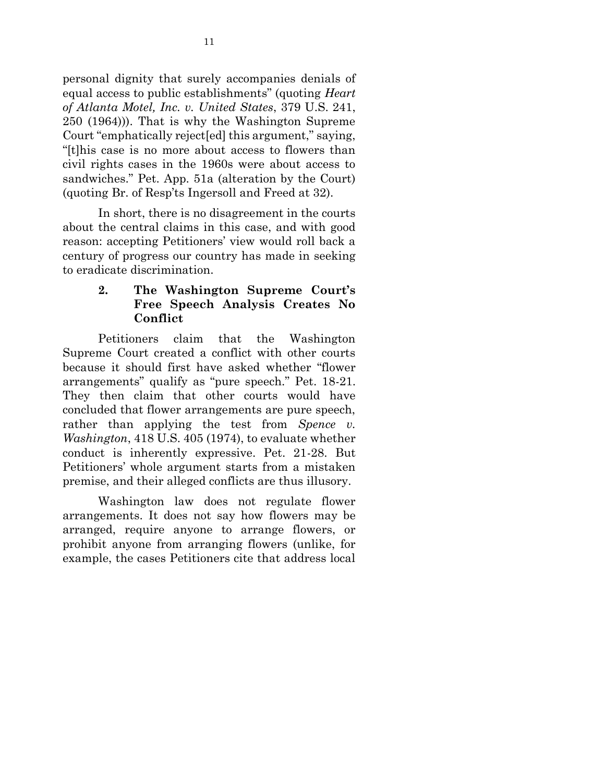personal dignity that surely accompanies denials of equal access to public establishments" (quoting *Heart of Atlanta Motel, Inc. v. United States*, 379 U.S. 241, 250 (1964))). That is why the Washington Supreme Court "emphatically reject[ed] this argument," saying, "[t]his case is no more about access to flowers than civil rights cases in the 1960s were about access to sandwiches." Pet. App. 51a (alteration by the Court) (quoting Br. of Resp'ts Ingersoll and Freed at 32).

In short, there is no disagreement in the courts about the central claims in this case, and with good reason: accepting Petitioners' view would roll back a century of progress our country has made in seeking to eradicate discrimination.

# **2. The Washington Supreme Court's Free Speech Analysis Creates No Conflict**

Petitioners claim that the Washington Supreme Court created a conflict with other courts because it should first have asked whether "flower arrangements" qualify as "pure speech." Pet. 18-21. They then claim that other courts would have concluded that flower arrangements are pure speech, rather than applying the test from *Spence v. Washington*, 418 U.S. 405 (1974), to evaluate whether conduct is inherently expressive. Pet. 21-28. But Petitioners' whole argument starts from a mistaken premise, and their alleged conflicts are thus illusory.

Washington law does not regulate flower arrangements. It does not say how flowers may be arranged, require anyone to arrange flowers, or prohibit anyone from arranging flowers (unlike, for example, the cases Petitioners cite that address local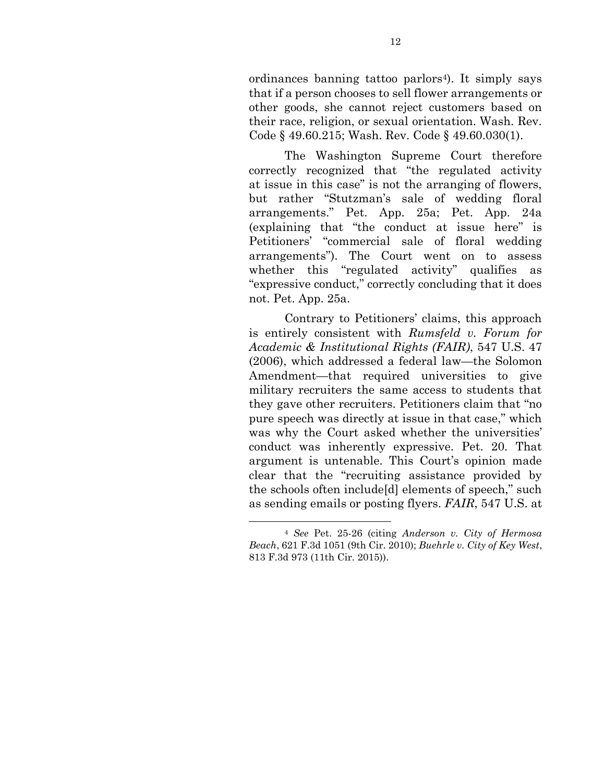ordinances banning tattoo parlors4). It simply says that if a person chooses to sell flower arrangements or other goods, she cannot reject customers based on their race, religion, or sexual orientation. Wash. Rev. Code § 49.60.215; Wash. Rev. Code § 49.60.030(1).

The Washington Supreme Court therefore correctly recognized that "the regulated activity at issue in this case" is not the arranging of flowers, but rather "Stutzman's sale of wedding floral arrangements." Pet. App. 25a; Pet. App. 24a (explaining that "the conduct at issue here" is Petitioners' "commercial sale of floral wedding arrangements"). The Court went on to assess whether this "regulated activity" qualifies as "expressive conduct," correctly concluding that it does not. Pet. App. 25a.

Contrary to Petitioners' claims, this approach is entirely consistent with *Rumsfeld v. Forum for Academic & Institutional Rights (FAIR)*, 547 U.S. 47 (2006), which addressed a federal law—the Solomon Amendment—that required universities to give military recruiters the same access to students that they gave other recruiters. Petitioners claim that "no pure speech was directly at issue in that case," which was why the Court asked whether the universities' conduct was inherently expressive. Pet. 20. That argument is untenable. This Court's opinion made clear that the "recruiting assistance provided by the schools often include[d] elements of speech," such as sending emails or posting flyers. *FAIR*, 547 U.S. at

l

<sup>4</sup> *See* Pet. 25-26 (citing *Anderson v. City of Hermosa Beach*, 621 F.3d 1051 (9th Cir. 2010); *Buehrle v. City of Key West*, 813 F.3d 973 (11th Cir. 2015)).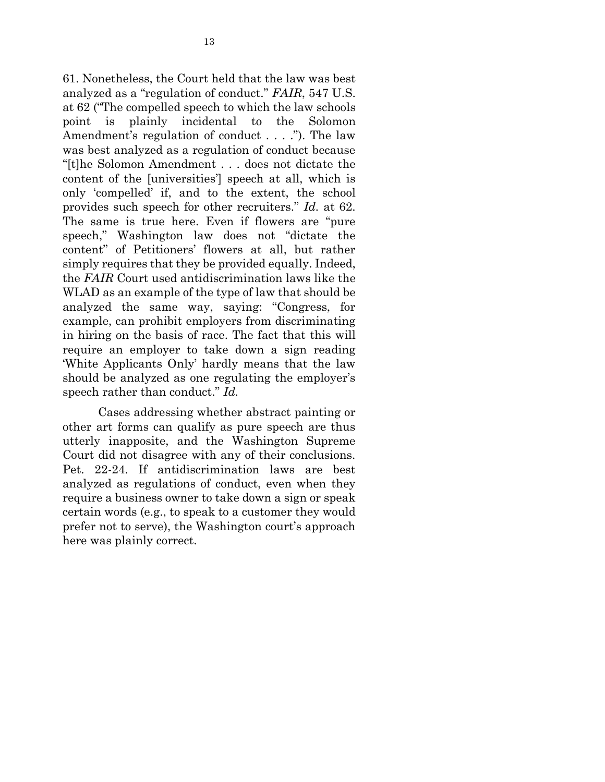61. Nonetheless, the Court held that the law was best analyzed as a "regulation of conduct." *FAIR*, 547 U.S. at 62 ("The compelled speech to which the law schools point is plainly incidental to the Solomon Amendment's regulation of conduct . . . ."). The law was best analyzed as a regulation of conduct because "[t]he Solomon Amendment . . . does not dictate the content of the [universities'] speech at all, which is only 'compelled' if, and to the extent, the school provides such speech for other recruiters." *Id.* at 62. The same is true here. Even if flowers are "pure speech," Washington law does not "dictate the content" of Petitioners' flowers at all, but rather simply requires that they be provided equally. Indeed, the *FAIR* Court used antidiscrimination laws like the WLAD as an example of the type of law that should be analyzed the same way, saying: "Congress, for example, can prohibit employers from discriminating in hiring on the basis of race. The fact that this will require an employer to take down a sign reading 'White Applicants Only' hardly means that the law should be analyzed as one regulating the employer's speech rather than conduct." *Id.*

Cases addressing whether abstract painting or other art forms can qualify as pure speech are thus utterly inapposite, and the Washington Supreme Court did not disagree with any of their conclusions. Pet. 22-24. If antidiscrimination laws are best analyzed as regulations of conduct, even when they require a business owner to take down a sign or speak certain words (e.g., to speak to a customer they would prefer not to serve), the Washington court's approach here was plainly correct.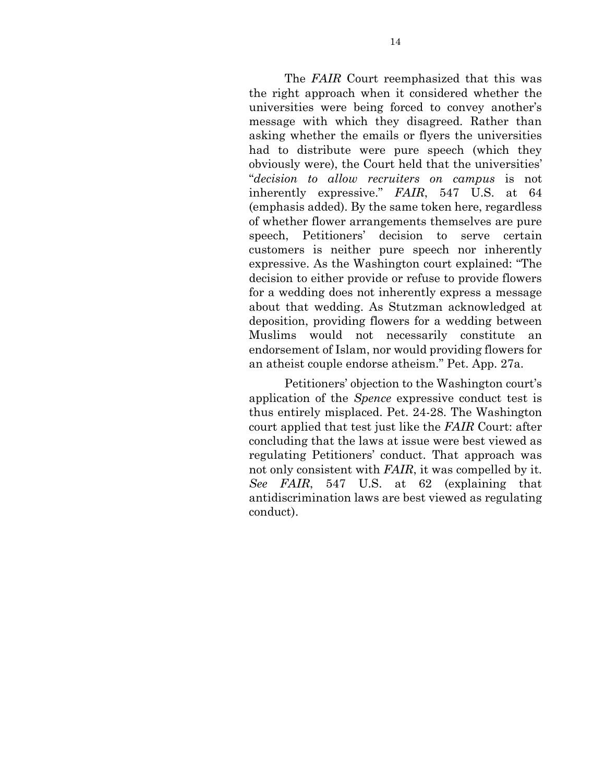The *FAIR* Court reemphasized that this was the right approach when it considered whether the universities were being forced to convey another's message with which they disagreed. Rather than asking whether the emails or flyers the universities had to distribute were pure speech (which they obviously were), the Court held that the universities' "*decision to allow recruiters on campus* is not inherently expressive." *FAIR*, 547 U.S. at 64 (emphasis added). By the same token here, regardless of whether flower arrangements themselves are pure speech, Petitioners' decision to serve certain customers is neither pure speech nor inherently expressive. As the Washington court explained: "The decision to either provide or refuse to provide flowers for a wedding does not inherently express a message about that wedding. As Stutzman acknowledged at deposition, providing flowers for a wedding between Muslims would not necessarily constitute an endorsement of Islam, nor would providing flowers for an atheist couple endorse atheism." Pet. App. 27a.

Petitioners' objection to the Washington court's application of the *Spence* expressive conduct test is thus entirely misplaced. Pet. 24-28. The Washington court applied that test just like the *FAIR* Court: after concluding that the laws at issue were best viewed as regulating Petitioners' conduct. That approach was not only consistent with *FAIR*, it was compelled by it. *See FAIR*, 547 U.S. at 62 (explaining that antidiscrimination laws are best viewed as regulating conduct).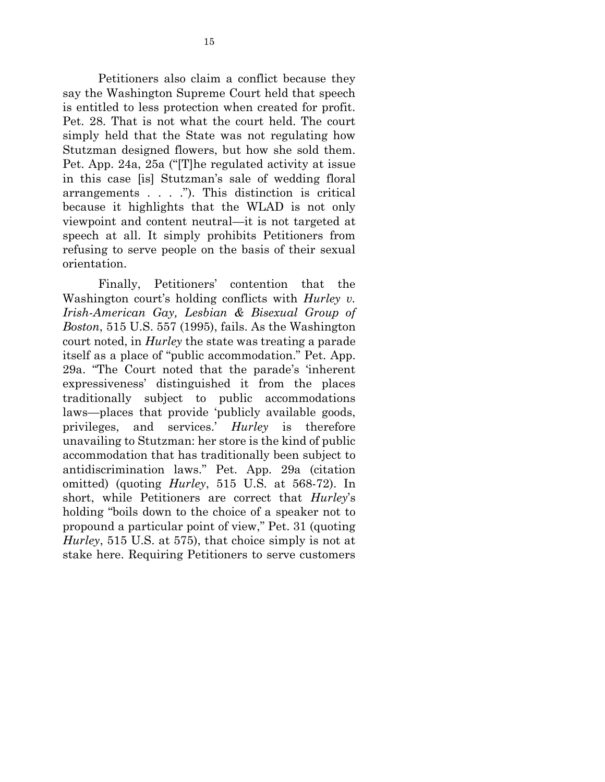Petitioners also claim a conflict because they say the Washington Supreme Court held that speech is entitled to less protection when created for profit. Pet. 28. That is not what the court held. The court simply held that the State was not regulating how Stutzman designed flowers, but how she sold them. Pet. App. 24a, 25a ("[T]he regulated activity at issue in this case [is] Stutzman's sale of wedding floral arrangements . . . ."). This distinction is critical because it highlights that the WLAD is not only viewpoint and content neutral—it is not targeted at speech at all. It simply prohibits Petitioners from refusing to serve people on the basis of their sexual orientation.

Finally, Petitioners' contention that the Washington court's holding conflicts with *Hurley v. Irish-American Gay, Lesbian & Bisexual Group of Boston*, 515 U.S. 557 (1995), fails. As the Washington court noted, in *Hurley* the state was treating a parade itself as a place of "public accommodation." Pet. App. 29a. "The Court noted that the parade's 'inherent expressiveness' distinguished it from the places traditionally subject to public accommodations laws—places that provide 'publicly available goods, privileges, and services.' *Hurley* is therefore unavailing to Stutzman: her store is the kind of public accommodation that has traditionally been subject to antidiscrimination laws." Pet. App. 29a (citation omitted) (quoting *Hurley*, 515 U.S. at 568-72). In short, while Petitioners are correct that *Hurley*'s holding "boils down to the choice of a speaker not to propound a particular point of view," Pet. 31 (quoting *Hurley*, 515 U.S. at 575), that choice simply is not at stake here. Requiring Petitioners to serve customers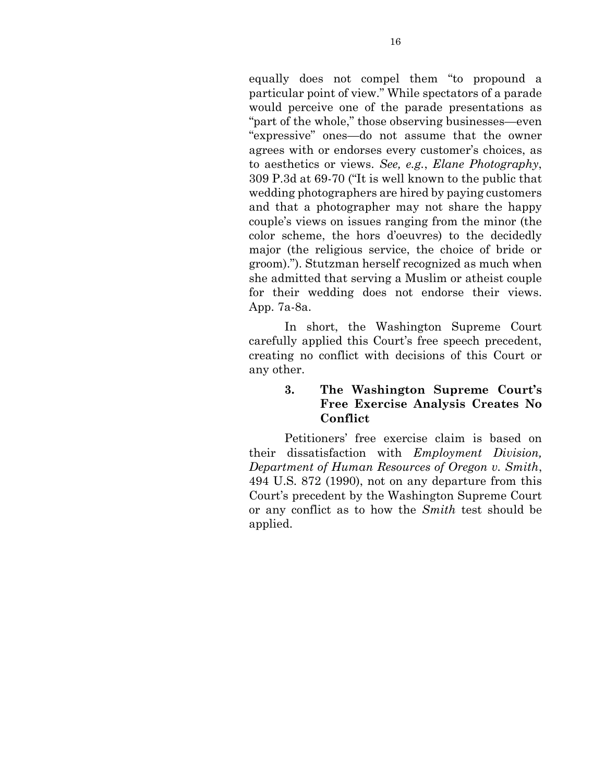equally does not compel them "to propound a particular point of view." While spectators of a parade would perceive one of the parade presentations as "part of the whole," those observing businesses—even "expressive" ones—do not assume that the owner agrees with or endorses every customer's choices, as to aesthetics or views. *See, e.g.*, *Elane Photography*, 309 P.3d at 69-70 ("It is well known to the public that wedding photographers are hired by paying customers and that a photographer may not share the happy couple's views on issues ranging from the minor (the color scheme, the hors d'oeuvres) to the decidedly major (the religious service, the choice of bride or groom)."). Stutzman herself recognized as much when she admitted that serving a Muslim or atheist couple for their wedding does not endorse their views. App. 7a-8a.

In short, the Washington Supreme Court carefully applied this Court's free speech precedent, creating no conflict with decisions of this Court or any other.

### **3. The Washington Supreme Court's Free Exercise Analysis Creates No Conflict**

Petitioners' free exercise claim is based on their dissatisfaction with *Employment Division, Department of Human Resources of Oregon v. Smith*, 494 U.S. 872 (1990), not on any departure from this Court's precedent by the Washington Supreme Court or any conflict as to how the *Smith* test should be applied.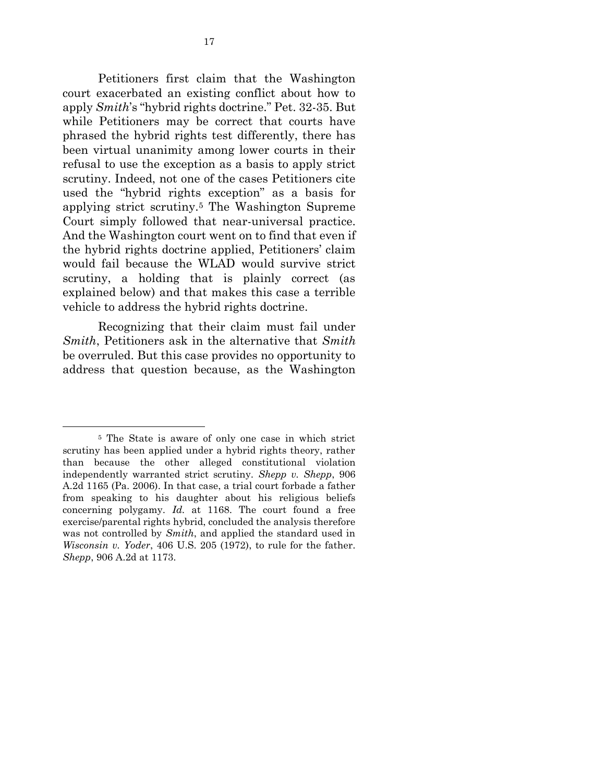Petitioners first claim that the Washington court exacerbated an existing conflict about how to apply *Smith*'s "hybrid rights doctrine." Pet. 32-35. But while Petitioners may be correct that courts have phrased the hybrid rights test differently, there has been virtual unanimity among lower courts in their refusal to use the exception as a basis to apply strict scrutiny. Indeed, not one of the cases Petitioners cite used the "hybrid rights exception" as a basis for applying strict scrutiny.<sup>5</sup> The Washington Supreme Court simply followed that near-universal practice. And the Washington court went on to find that even if the hybrid rights doctrine applied, Petitioners' claim would fail because the WLAD would survive strict scrutiny, a holding that is plainly correct (as explained below) and that makes this case a terrible vehicle to address the hybrid rights doctrine.

Recognizing that their claim must fail under *Smith*, Petitioners ask in the alternative that *Smith* be overruled. But this case provides no opportunity to address that question because, as the Washington

 $\overline{a}$ 

<sup>5</sup> The State is aware of only one case in which strict scrutiny has been applied under a hybrid rights theory, rather than because the other alleged constitutional violation independently warranted strict scrutiny. *Shepp v. Shepp*, 906 A.2d 1165 (Pa. 2006). In that case, a trial court forbade a father from speaking to his daughter about his religious beliefs concerning polygamy. *Id.* at 1168. The court found a free exercise/parental rights hybrid, concluded the analysis therefore was not controlled by *Smith*, and applied the standard used in *Wisconsin v. Yoder*, 406 U.S. 205 (1972), to rule for the father. *Shepp*, 906 A.2d at 1173.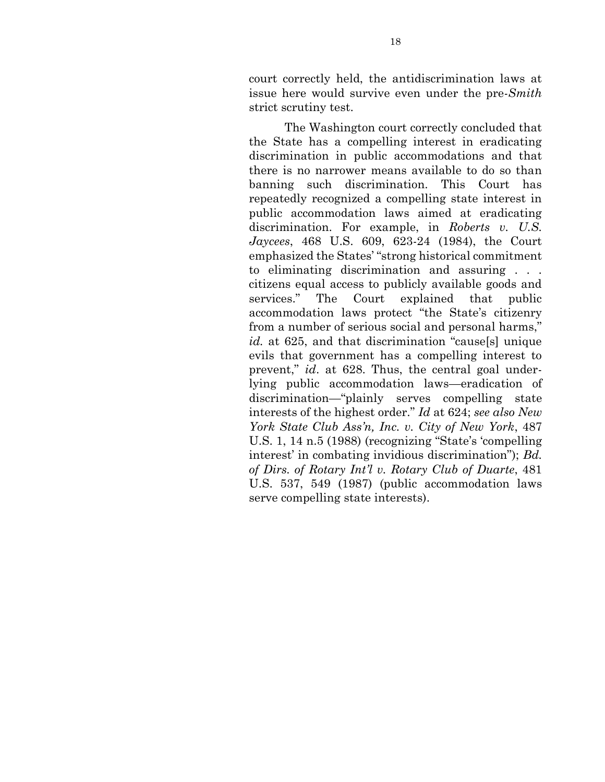court correctly held, the antidiscrimination laws at issue here would survive even under the pre-*Smith* strict scrutiny test.

The Washington court correctly concluded that the State has a compelling interest in eradicating discrimination in public accommodations and that there is no narrower means available to do so than banning such discrimination. This Court has repeatedly recognized a compelling state interest in public accommodation laws aimed at eradicating discrimination. For example, in *Roberts v. U.S. Jaycees*, 468 U.S. 609, 623-24 (1984), the Court emphasized the States' "strong historical commitment to eliminating discrimination and assuring . . . citizens equal access to publicly available goods and services." The Court explained that public accommodation laws protect "the State's citizenry from a number of serious social and personal harms," *id.* at 625, and that discrimination "cause[s] unique evils that government has a compelling interest to prevent," *id*. at 628. Thus, the central goal underlying public accommodation laws—eradication of discrimination—"plainly serves compelling state interests of the highest order." *Id* at 624; *see also New York State Club Ass'n, Inc. v. City of New York*, 487 U.S. 1, 14 n.5 (1988) (recognizing "State's 'compelling interest' in combating invidious discrimination"); *Bd. of Dirs. of Rotary Int'l v. Rotary Club of Duarte*, 481 U.S. 537, 549 (1987) (public accommodation laws serve compelling state interests).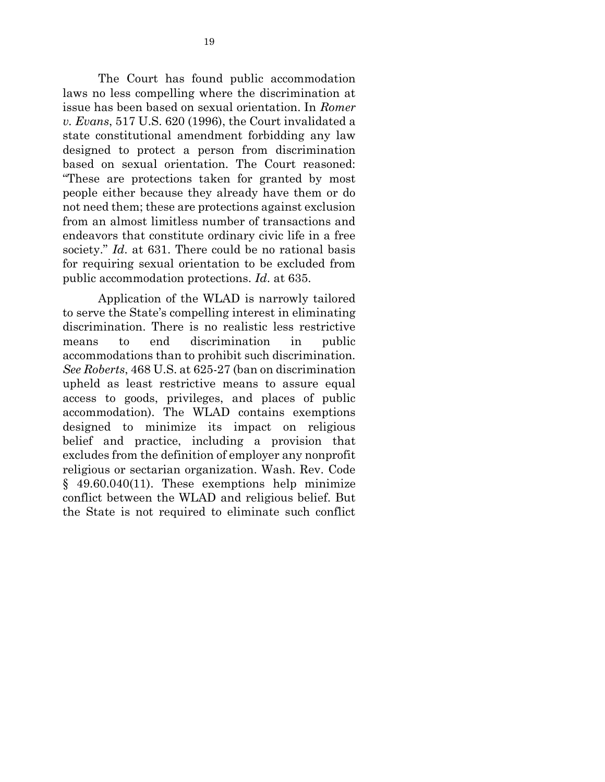The Court has found public accommodation laws no less compelling where the discrimination at issue has been based on sexual orientation. In *Romer v. Evans*, 517 U.S. 620 (1996), the Court invalidated a state constitutional amendment forbidding any law designed to protect a person from discrimination based on sexual orientation. The Court reasoned: "These are protections taken for granted by most people either because they already have them or do not need them; these are protections against exclusion from an almost limitless number of transactions and endeavors that constitute ordinary civic life in a free society." *Id.* at 631. There could be no rational basis for requiring sexual orientation to be excluded from public accommodation protections. *Id*. at 635.

Application of the WLAD is narrowly tailored to serve the State's compelling interest in eliminating discrimination. There is no realistic less restrictive means to end discrimination in public accommodations than to prohibit such discrimination. *See Roberts*, 468 U.S. at 625-27 (ban on discrimination upheld as least restrictive means to assure equal access to goods, privileges, and places of public accommodation). The WLAD contains exemptions designed to minimize its impact on religious belief and practice, including a provision that excludes from the definition of employer any nonprofit religious or sectarian organization. Wash. Rev. Code  $§$  49.60.040(11). These exemptions help minimize conflict between the WLAD and religious belief. But the State is not required to eliminate such conflict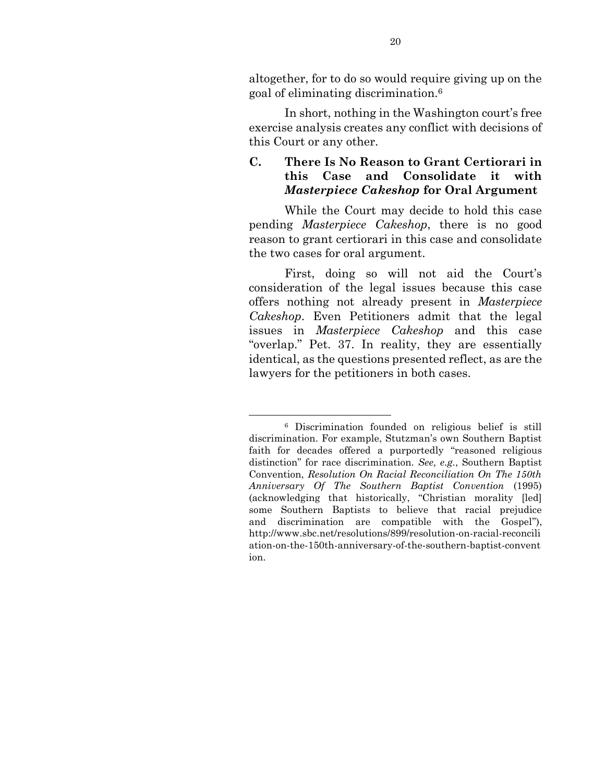altogether, for to do so would require giving up on the goal of eliminating discrimination.<sup>6</sup>

In short, nothing in the Washington court's free exercise analysis creates any conflict with decisions of this Court or any other.

# **C. There Is No Reason to Grant Certiorari in this Case and Consolidate it with**  *Masterpiece Cakeshop* **for Oral Argument**

While the Court may decide to hold this case pending *Masterpiece Cakeshop*, there is no good reason to grant certiorari in this case and consolidate the two cases for oral argument.

First, doing so will not aid the Court's consideration of the legal issues because this case offers nothing not already present in *Masterpiece Cakeshop*. Even Petitioners admit that the legal issues in *Masterpiece Cakeshop* and this case "overlap." Pet. 37. In reality, they are essentially identical, as the questions presented reflect, as are the lawyers for the petitioners in both cases.

<sup>6</sup> Discrimination founded on religious belief is still discrimination. For example, Stutzman's own Southern Baptist faith for decades offered a purportedly "reasoned religious distinction" for race discrimination. *See, e.g.*, Southern Baptist Convention, *Resolution On Racial Reconciliation On The 150th Anniversary Of The Southern Baptist Convention* (1995) (acknowledging that historically, "Christian morality [led] some Southern Baptists to believe that racial prejudice and discrimination are compatible with the Gospel"), http://www.sbc.net/resolutions/899/resolution-on-racial-reconcili ation-on-the-150th-anniversary-of-the-southern-baptist-convent ion.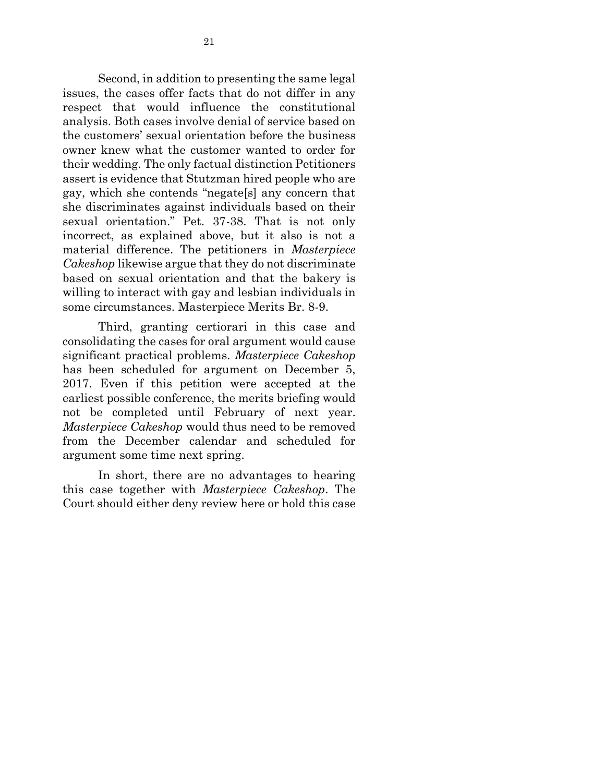Second, in addition to presenting the same legal issues, the cases offer facts that do not differ in any respect that would influence the constitutional analysis. Both cases involve denial of service based on the customers' sexual orientation before the business owner knew what the customer wanted to order for their wedding. The only factual distinction Petitioners assert is evidence that Stutzman hired people who are gay, which she contends "negate[s] any concern that she discriminates against individuals based on their sexual orientation." Pet. 37-38. That is not only incorrect, as explained above, but it also is not a material difference. The petitioners in *Masterpiece Cakeshop* likewise argue that they do not discriminate based on sexual orientation and that the bakery is willing to interact with gay and lesbian individuals in some circumstances. Masterpiece Merits Br. 8-9.

Third, granting certiorari in this case and consolidating the cases for oral argument would cause significant practical problems. *Masterpiece Cakeshop* has been scheduled for argument on December 5, 2017. Even if this petition were accepted at the earliest possible conference, the merits briefing would not be completed until February of next year. *Masterpiece Cakeshop* would thus need to be removed from the December calendar and scheduled for argument some time next spring.

In short, there are no advantages to hearing this case together with *Masterpiece Cakeshop*. The Court should either deny review here or hold this case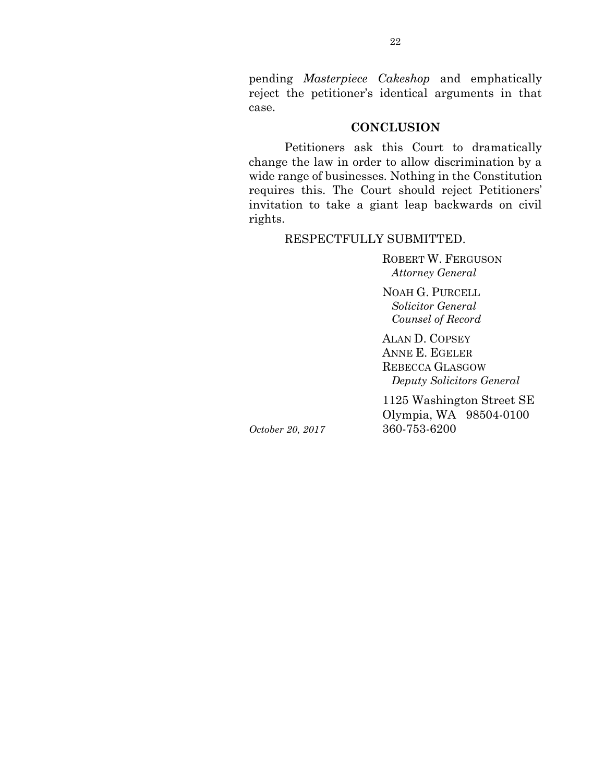pending *Masterpiece Cakeshop* and emphatically reject the petitioner's identical arguments in that case.

#### **CONCLUSION**

Petitioners ask this Court to dramatically change the law in order to allow discrimination by a wide range of businesses. Nothing in the Constitution requires this. The Court should reject Petitioners' invitation to take a giant leap backwards on civil rights.

#### RESPECTFULLY SUBMITTED.

ROBERT W. FERGUSON  *Attorney General*

NOAH G. PURCELL  *Solicitor General Counsel of Record*

ALAN D. COPSEY ANNE E. EGELER REBECCA GLASGOW  *Deputy Solicitors General*

1125 Washington Street SE Olympia, WA 98504-0100 *October 20, 2017* 360-753-6200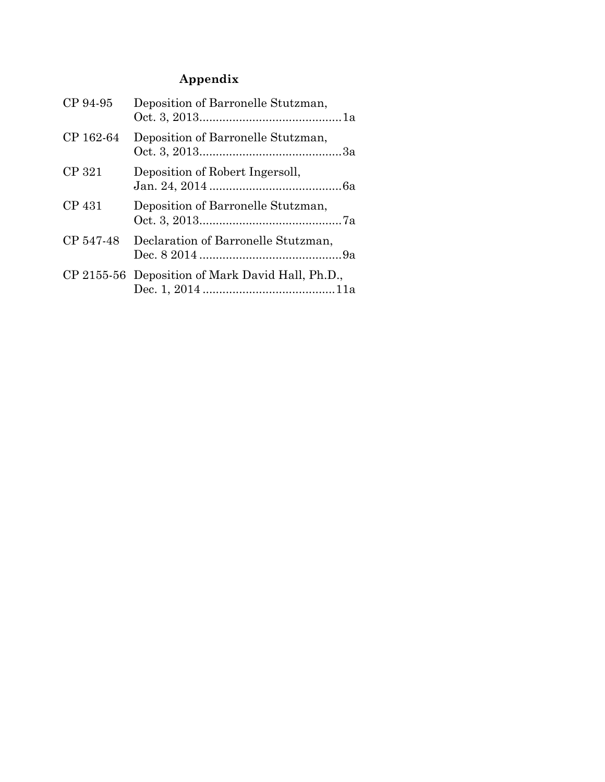# **Appendix**

| CP 94-95  | Deposition of Barronelle Stutzman,               |
|-----------|--------------------------------------------------|
| CP 162-64 | Deposition of Barronelle Stutzman,               |
| CP 321    | Deposition of Robert Ingersoll,                  |
| CP 431    | Deposition of Barronelle Stutzman,               |
| CP 547-48 | Declaration of Barronelle Stutzman,              |
|           | CP 2155-56 Deposition of Mark David Hall, Ph.D., |
|           |                                                  |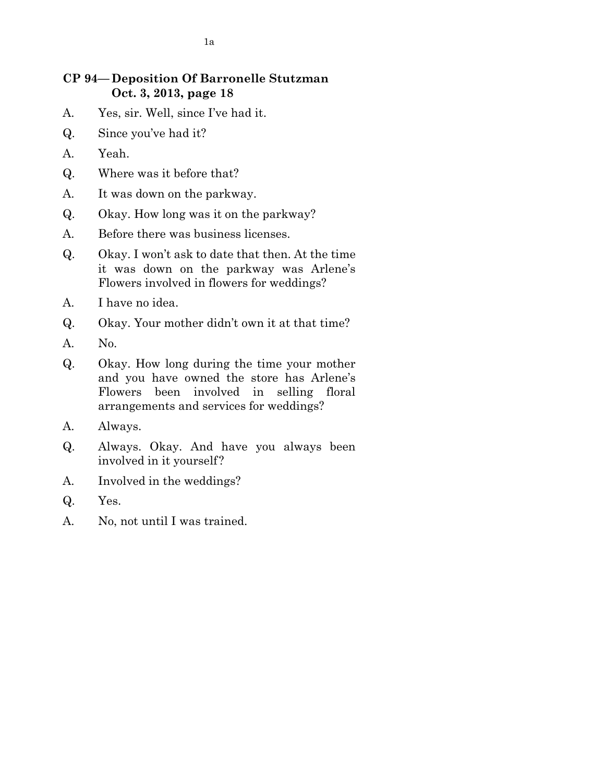# **CP 94—Deposition Of Barronelle Stutzman Oct. 3, 2013, page 18**

- A. Yes, sir. Well, since I've had it.
- Q. Since you've had it?
- A. Yeah.
- Q. Where was it before that?
- A. It was down on the parkway.
- Q. Okay. How long was it on the parkway?
- A. Before there was business licenses.
- Q. Okay. I won't ask to date that then. At the time it was down on the parkway was Arlene's Flowers involved in flowers for weddings?
- A. I have no idea.
- Q. Okay. Your mother didn't own it at that time?
- A. No.
- Q. Okay. How long during the time your mother and you have owned the store has Arlene's Flowers been involved in selling floral arrangements and services for weddings?
- A. Always.
- Q. Always. Okay. And have you always been involved in it yourself?
- A. Involved in the weddings?
- Q. Yes.
- A. No, not until I was trained.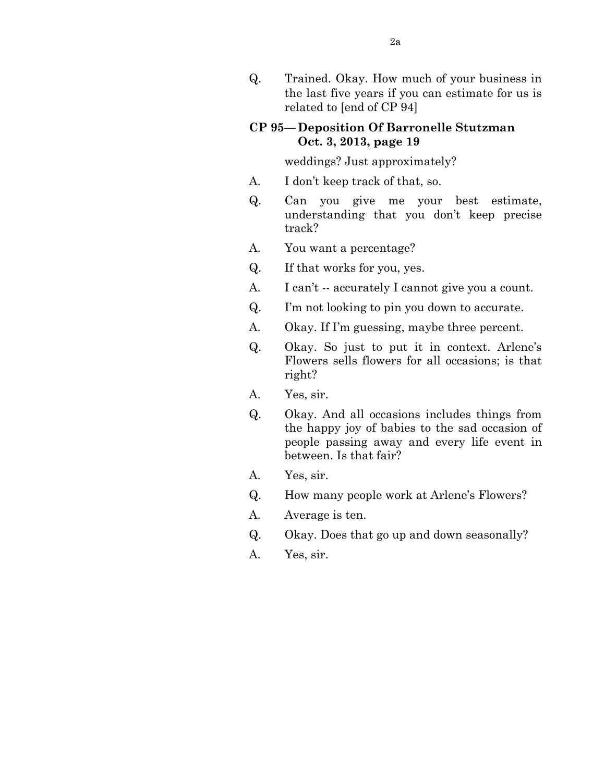Q. Trained. Okay. How much of your business in the last five years if you can estimate for us is related to [end of CP 94]

# **CP 95—Deposition Of Barronelle Stutzman Oct. 3, 2013, page 19**

weddings? Just approximately?

- A. I don't keep track of that, so.
- Q. Can you give me your best estimate, understanding that you don't keep precise track?
- A. You want a percentage?
- Q. If that works for you, yes.
- A. I can't -- accurately I cannot give you a count.
- Q. I'm not looking to pin you down to accurate.
- A. Okay. If I'm guessing, maybe three percent.
- Q. Okay. So just to put it in context. Arlene's Flowers sells flowers for all occasions; is that right?
- A. Yes, sir.
- Q. Okay. And all occasions includes things from the happy joy of babies to the sad occasion of people passing away and every life event in between. Is that fair?
- A. Yes, sir.
- Q. How many people work at Arlene's Flowers?
- A. Average is ten.
- Q. Okay. Does that go up and down seasonally?
- A. Yes, sir.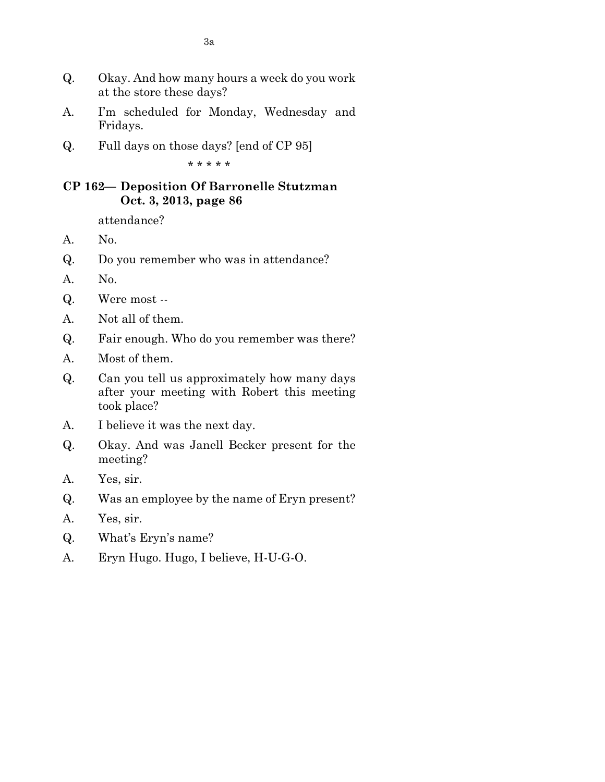- Q. Okay. And how many hours a week do you work at the store these days?
- A. I'm scheduled for Monday, Wednesday and Fridays.
- Q. Full days on those days? [end of CP 95]

\* \* \* \* \*

## **CP 162— Deposition Of Barronelle Stutzman Oct. 3, 2013, page 86**

attendance?

- A. No.
- Q. Do you remember who was in attendance?
- A. No.
- Q. Were most --
- A. Not all of them.
- Q. Fair enough. Who do you remember was there?
- A. Most of them.
- Q. Can you tell us approximately how many days after your meeting with Robert this meeting took place?
- A. I believe it was the next day.
- Q. Okay. And was Janell Becker present for the meeting?
- A. Yes, sir.
- Q. Was an employee by the name of Eryn present?
- A. Yes, sir.
- Q. What's Eryn's name?
- A. Eryn Hugo. Hugo, I believe, H-U-G-O.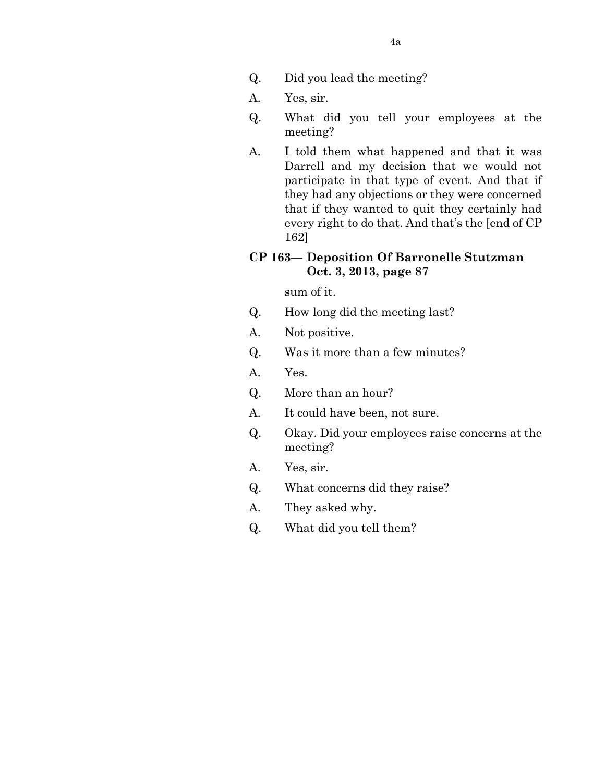- Q. Did you lead the meeting?
- A. Yes, sir.
- Q. What did you tell your employees at the meeting?
- A. I told them what happened and that it was Darrell and my decision that we would not participate in that type of event. And that if they had any objections or they were concerned that if they wanted to quit they certainly had every right to do that. And that's the [end of CP 162]

# **CP 163— Deposition Of Barronelle Stutzman Oct. 3, 2013, page 87**

sum of it.

- Q. How long did the meeting last?
- A. Not positive.
- Q. Was it more than a few minutes?
- A. Yes.
- Q. More than an hour?
- A. It could have been, not sure.
- Q. Okay. Did your employees raise concerns at the meeting?
- A. Yes, sir.
- Q. What concerns did they raise?
- A. They asked why.
- Q. What did you tell them?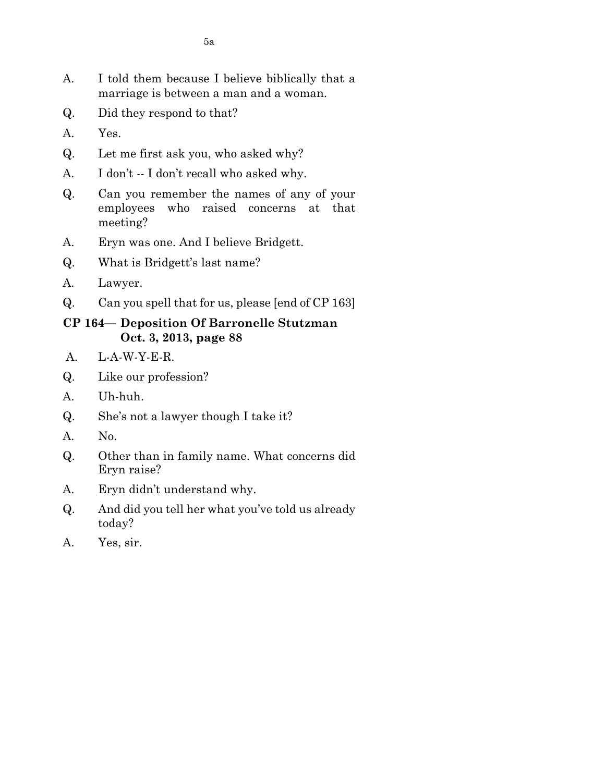- A. I told them because I believe biblically that a marriage is between a man and a woman.
- Q. Did they respond to that?
- A. Yes.
- Q. Let me first ask you, who asked why?
- A. I don't -- I don't recall who asked why.
- Q. Can you remember the names of any of your employees who raised concerns at that meeting?
- A. Eryn was one. And I believe Bridgett.
- Q. What is Bridgett's last name?
- A. Lawyer.
- Q. Can you spell that for us, please [end of CP 163]

### **CP 164— Deposition Of Barronelle Stutzman Oct. 3, 2013, page 88**

- A. L-A-W-Y-E-R.
- Q. Like our profession?
- A. Uh-huh.
- Q. She's not a lawyer though I take it?
- A. No.
- Q. Other than in family name. What concerns did Eryn raise?
- A. Eryn didn't understand why.
- Q. And did you tell her what you've told us already today?
- A. Yes, sir.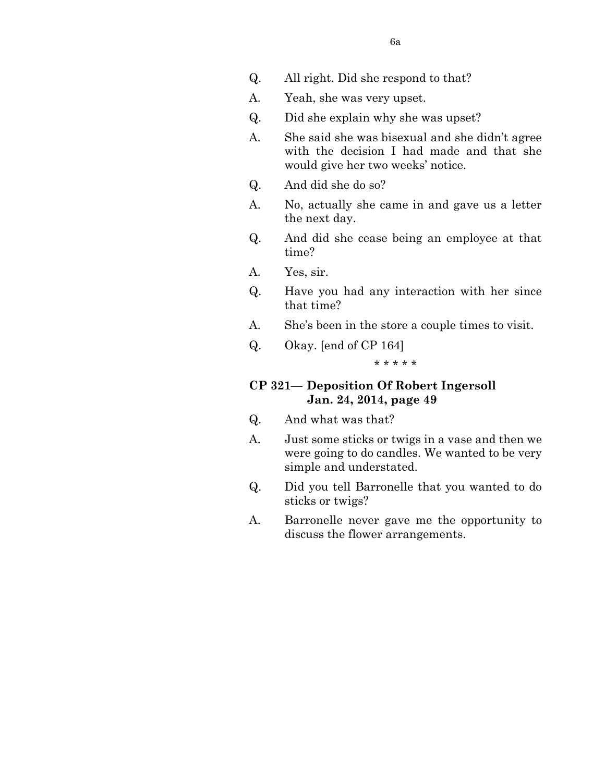- Q. All right. Did she respond to that?
- A. Yeah, she was very upset.
- Q. Did she explain why she was upset?
- A. She said she was bisexual and she didn't agree with the decision I had made and that she would give her two weeks' notice.
- Q. And did she do so?
- A. No, actually she came in and gave us a letter the next day.
- Q. And did she cease being an employee at that time?
- A. Yes, sir.
- Q. Have you had any interaction with her since that time?
- A. She's been in the store a couple times to visit.
- Q. Okay. [end of CP 164]

#### \* \* \* \* \*

## **CP 321— Deposition Of Robert Ingersoll Jan. 24, 2014, page 49**

- Q. And what was that?
- A. Just some sticks or twigs in a vase and then we were going to do candles. We wanted to be very simple and understated.
- Q. Did you tell Barronelle that you wanted to do sticks or twigs?
- A. Barronelle never gave me the opportunity to discuss the flower arrangements.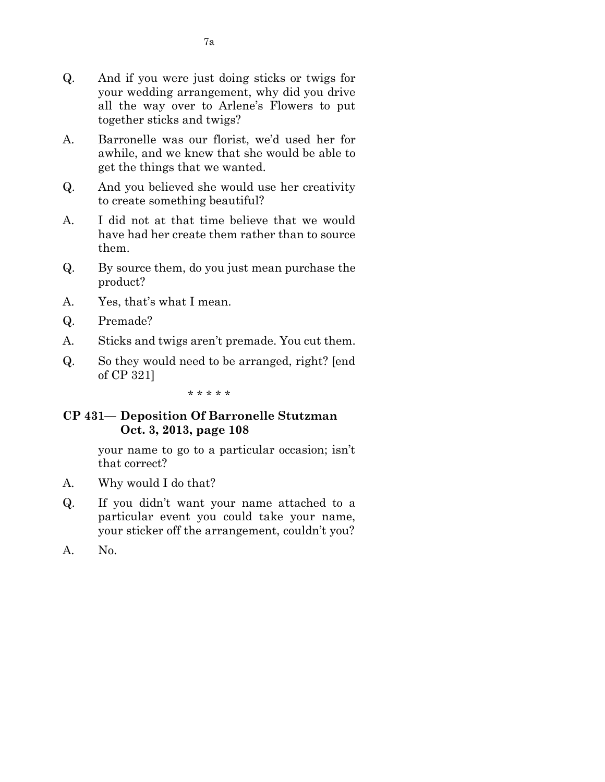- Q. And if you were just doing sticks or twigs for your wedding arrangement, why did you drive all the way over to Arlene's Flowers to put together sticks and twigs?
- A. Barronelle was our florist, we'd used her for awhile, and we knew that she would be able to get the things that we wanted.
- Q. And you believed she would use her creativity to create something beautiful?
- A. I did not at that time believe that we would have had her create them rather than to source them.
- Q. By source them, do you just mean purchase the product?
- A. Yes, that's what I mean.
- Q. Premade?
- A. Sticks and twigs aren't premade. You cut them.
- Q. So they would need to be arranged, right? [end of CP 321]

\* \* \* \* \*

## **CP 431— Deposition Of Barronelle Stutzman Oct. 3, 2013, page 108**

your name to go to a particular occasion; isn't that correct?

- A. Why would I do that?
- Q. If you didn't want your name attached to a particular event you could take your name, your sticker off the arrangement, couldn't you?
- A. No.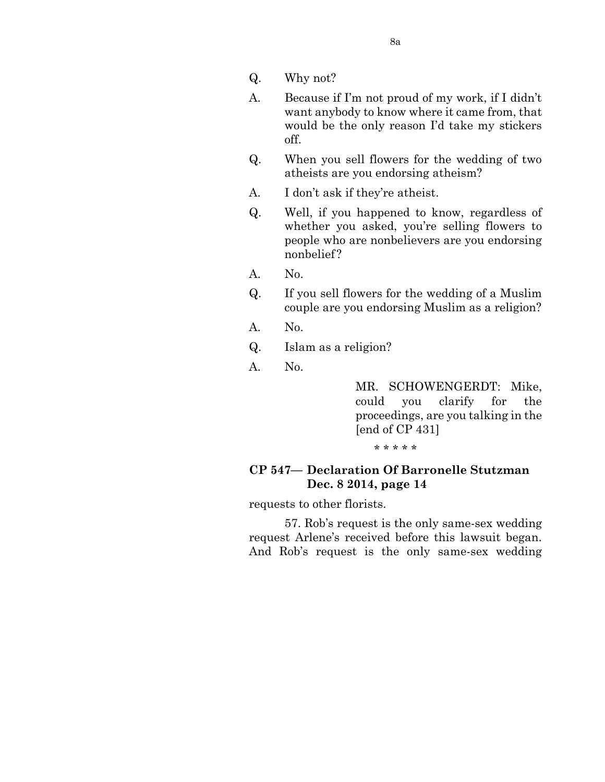- Q. Why not?
- A. Because if I'm not proud of my work, if I didn't want anybody to know where it came from, that would be the only reason I'd take my stickers off.
- Q. When you sell flowers for the wedding of two atheists are you endorsing atheism?
- A. I don't ask if they're atheist.
- Q. Well, if you happened to know, regardless of whether you asked, you're selling flowers to people who are nonbelievers are you endorsing nonbelief ?
- A. No.
- Q. If you sell flowers for the wedding of a Muslim couple are you endorsing Muslim as a religion?
- A. No.
- Q. Islam as a religion?
- A. No.

MR. SCHOWENGERDT: Mike, could you clarify for the proceedings, are you talking in the [end of CP 431]

\* \* \* \* \*

#### **CP 547— Declaration Of Barronelle Stutzman Dec. 8 2014, page 14**

requests to other florists.

57. Rob's request is the only same-sex wedding request Arlene's received before this lawsuit began. And Rob's request is the only same-sex wedding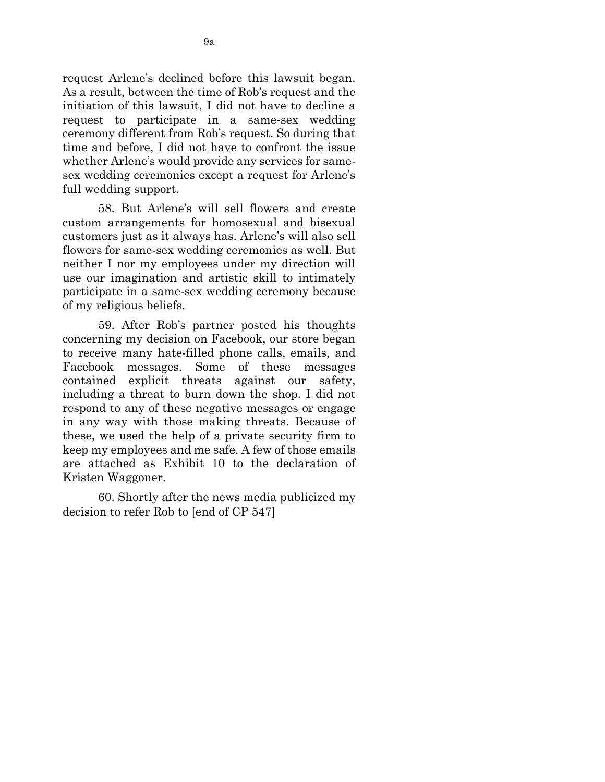request Arlene's declined before this lawsuit began. As a result, between the time of Rob's request and the initiation of this lawsuit, I did not have to decline a request to participate in a same-sex wedding ceremony different from Rob's request. So during that time and before, I did not have to confront the issue whether Arlene's would provide any services for samesex wedding ceremonies except a request for Arlene's full wedding support.

58. But Arlene's will sell flowers and create custom arrangements for homosexual and bisexual customers just as it always has. Arlene's will also sell flowers for same-sex wedding ceremonies as well. But neither I nor my employees under my direction will use our imagination and artistic skill to intimately participate in a same-sex wedding ceremony because of my religious beliefs.

59. After Rob's partner posted his thoughts concerning my decision on Facebook, our store began to receive many hate-filled phone calls, emails, and Facebook messages. Some of these messages contained explicit threats against our safety, including a threat to burn down the shop. I did not respond to any of these negative messages or engage in any way with those making threats. Because of these, we used the help of a private security firm to keep my employees and me safe. A few of those emails are attached as Exhibit 10 to the declaration of Kristen Waggoner.

60. Shortly after the news media publicized my decision to refer Rob to [end of CP 547]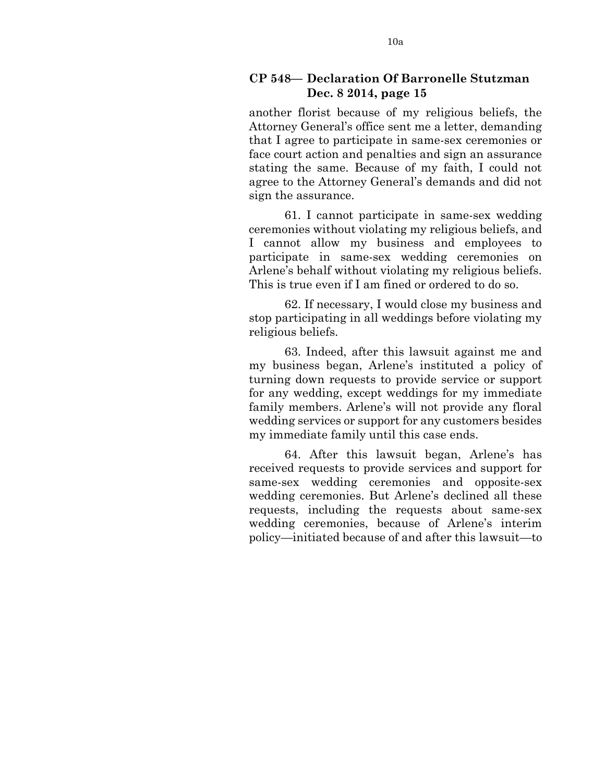#### **CP 548— Declaration Of Barronelle Stutzman Dec. 8 2014, page 15**

another florist because of my religious beliefs, the Attorney General's office sent me a letter, demanding that I agree to participate in same-sex ceremonies or face court action and penalties and sign an assurance stating the same. Because of my faith, I could not agree to the Attorney General's demands and did not sign the assurance.

61. I cannot participate in same-sex wedding ceremonies without violating my religious beliefs, and I cannot allow my business and employees to participate in same-sex wedding ceremonies on Arlene's behalf without violating my religious beliefs. This is true even if I am fined or ordered to do so.

62. If necessary, I would close my business and stop participating in all weddings before violating my religious beliefs.

63. Indeed, after this lawsuit against me and my business began, Arlene's instituted a policy of turning down requests to provide service or support for any wedding, except weddings for my immediate family members. Arlene's will not provide any floral wedding services or support for any customers besides my immediate family until this case ends.

64. After this lawsuit began, Arlene's has received requests to provide services and support for same-sex wedding ceremonies and opposite-sex wedding ceremonies. But Arlene's declined all these requests, including the requests about same-sex wedding ceremonies, because of Arlene's interim policy—initiated because of and after this lawsuit—to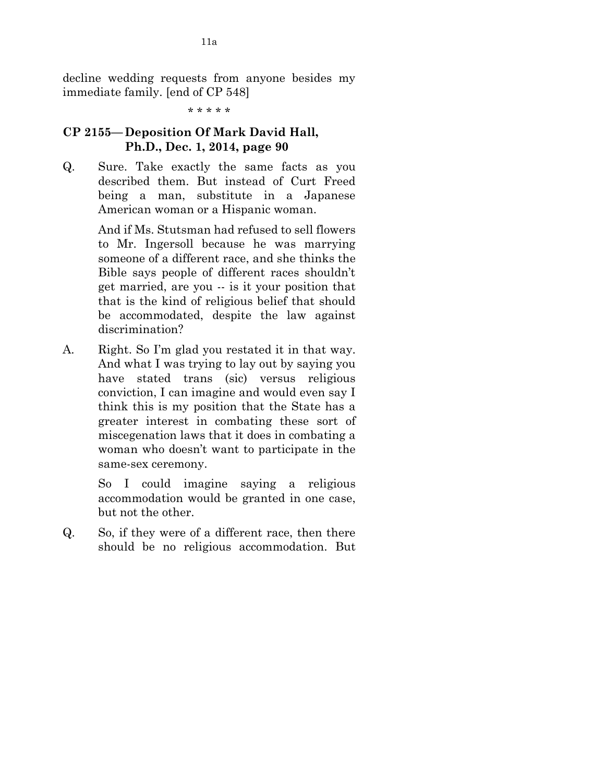decline wedding requests from anyone besides my immediate family. [end of CP 548]

\* \* \* \* \*

# **CP 2155—Deposition Of Mark David Hall, Ph.D., Dec. 1, 2014, page 90**

Q. Sure. Take exactly the same facts as you described them. But instead of Curt Freed being a man, substitute in a Japanese American woman or a Hispanic woman.

> And if Ms. Stutsman had refused to sell flowers to Mr. Ingersoll because he was marrying someone of a different race, and she thinks the Bible says people of different races shouldn't get married, are you -- is it your position that that is the kind of religious belief that should be accommodated, despite the law against discrimination?

A. Right. So I'm glad you restated it in that way. And what I was trying to lay out by saying you have stated trans (sic) versus religious conviction, I can imagine and would even say I think this is my position that the State has a greater interest in combating these sort of miscegenation laws that it does in combating a woman who doesn't want to participate in the same-sex ceremony.

> So I could imagine saying a religious accommodation would be granted in one case, but not the other.

Q. So, if they were of a different race, then there should be no religious accommodation. But